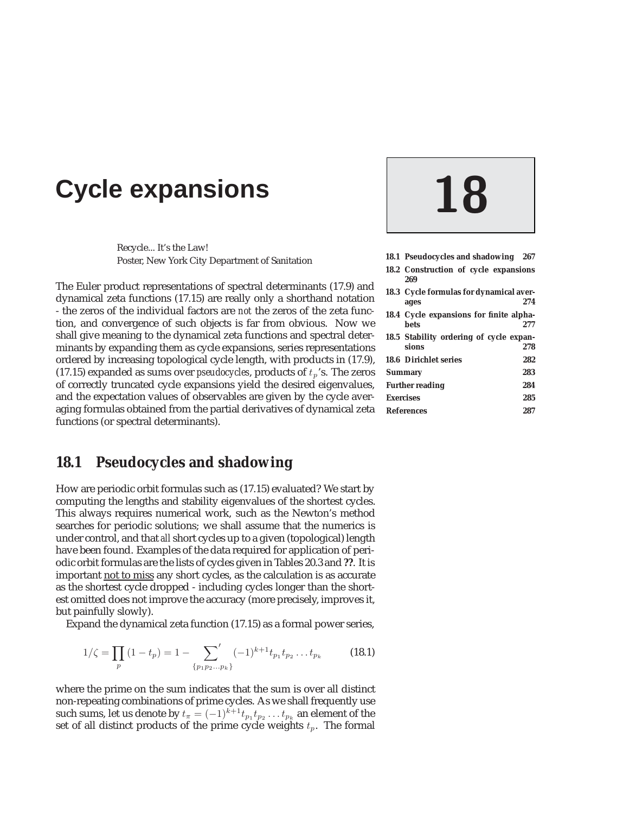# **Cycle expansions 18**

Recycle... It's the Law! Poster, New York City Department of Sanitation

The Euler product representations of spectral determinants (17.9) and dynamical zeta functions (17.15) are really only a shorthand notation - the zeros of the individual factors are *not* the zeros of the zeta function, and convergence of such objects is far from obvious. Now we shall give meaning to the dynamical zeta functions and spectral determinants by expanding them as cycle expansions, series representations ordered by increasing topological cycle length, with products in (17.9), (17.15) expanded as sums over *pseudocycles*, products of  $t_p$ 's. The zeros of correctly truncated cycle expansions yield the desired eigenvalues, and the expectation values of observables are given by the cycle averaging formulas obtained from the partial derivatives of dynamical zeta functions (or spectral determinants).

### **18.1 Pseudocycles and shadowing**

How are periodic orbit formulas such as (17.15) evaluated? We start by computing the lengths and stability eigenvalues of the shortest cycles. This always requires numerical work, such as the Newton's method searches for periodic solutions; we shall assume that the numerics is under control, and that *all* short cycles up to a given (topological) length have been found. Examples of the data required for application of periodic orbit formulas are the lists of cycles given in Tables 20.3 and **??**. It is important not to miss any short cycles, as the calculation is as accurate as the shortest cycle dropped - including cycles longer than the shortest omitted does not improve the accuracy (more precisely, improves it, but painfully slowly).

Expand the dynamical zeta function (17.15) as a formal power series,

$$
1/\zeta = \prod_{p} (1 - t_p) = 1 - \sum_{\{p_1p_2...p_k\}} (-1)^{k+1} t_{p_1} t_{p_2} ... t_{p_k}
$$
 (18.1)

where the prime on the sum indicates that the sum is over all distinct non-repeating combinations of prime cycles. As we shall frequently use such sums, let us denote by  $t_\pi=(-1)^{k+1}t_{p_1}t_{p_2}\ldots t_{p_k}$  an element of the set of all distinct products of the prime cycle weights  $t_p.$  The formal

|                  | 18.1 Pseudocycles and shadowing 267              |     |
|------------------|--------------------------------------------------|-----|
|                  | 18.2 Construction of cycle expansions<br>269     |     |
|                  | 18.3 Cycle formulas for dynamical aver-<br>ages  | 274 |
|                  | 18.4 Cycle expansions for finite alpha-<br>bets  | 277 |
|                  | 18.5 Stability ordering of cycle expan-<br>sions | 278 |
|                  | <b>18.6 Dirichlet series</b>                     | 282 |
|                  | 283<br><b>Summary</b>                            |     |
|                  | <b>Further reading</b>                           | 284 |
| <b>Exercises</b> |                                                  |     |
|                  | <b>References</b>                                | 287 |
|                  |                                                  |     |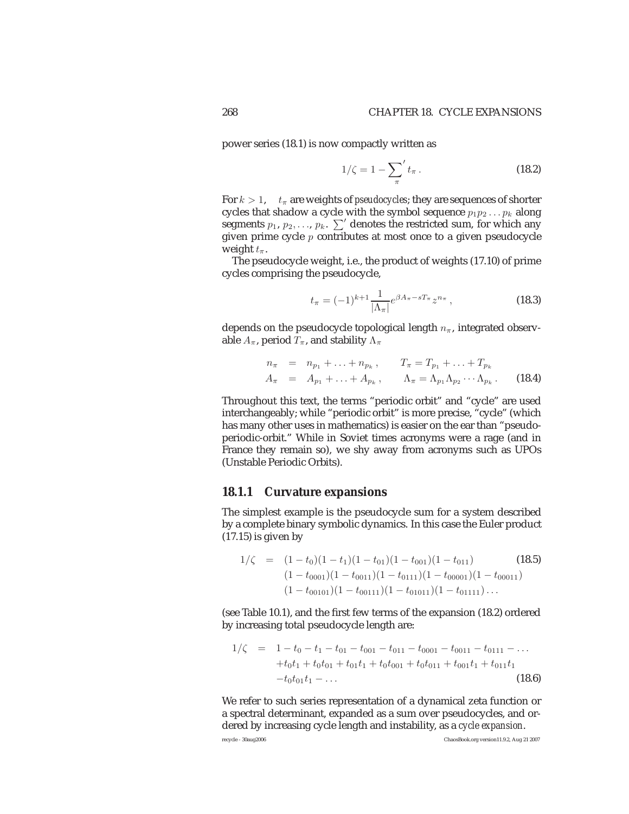power series (18.1) is now compactly written as

$$
1/\zeta = 1 - \sum_{\pi}^{\prime} t_{\pi} \,. \tag{18.2}
$$

For  $k > 1$ ,  $t_{\pi}$  are weights of *pseudocycles*; they are sequences of shorter cycles that shadow a cycle with the symbol sequence  $p_1p_2 \ldots p_k$  along segments  $p_1, p_2, \ldots, p_k$ .  $\sum'$  denotes the restricted sum, for which any given prime cycle  $p$  contributes at most once to a given pseudocycle weight  $t_\pi$ .

The pseudocycle weight, i.e., the product of weights (17.10) of prime cycles comprising the pseudocycle,

$$
t_{\pi} = (-1)^{k+1} \frac{1}{|\Lambda_{\pi}|} e^{\beta A_{\pi} - sT_{\pi}} z^{n_{\pi}}, \qquad (18.3)
$$

depends on the pseudocycle topological length  $n_{\pi}$ , integrated observable  $A_\pi$ , period  $T_\pi$ , and stability  $\Lambda_\pi$ 

$$
n_{\pi} = n_{p_1} + \ldots + n_{p_k}, \qquad T_{\pi} = T_{p_1} + \ldots + T_{p_k}
$$
  
\n
$$
A_{\pi} = A_{p_1} + \ldots + A_{p_k}, \qquad \Lambda_{\pi} = \Lambda_{p_1} \Lambda_{p_2} \cdots \Lambda_{p_k}.
$$
 (18.4)

Throughout this text, the terms "periodic orbit" and "cycle" are used interchangeably; while "periodic orbit" is more precise, "cycle" (which has many other uses in mathematics) is easier on the ear than "pseudoperiodic-orbit." While in Soviet times acronyms were a rage (and in France they remain so), we shy away from acronyms such as UPOs (Unstable Periodic Orbits).

#### **18.1.1 Curvature expansions**

The simplest example is the pseudocycle sum for a system described by a complete binary symbolic dynamics. In this case the Euler product  $(17.15)$  is given by

$$
1/\zeta = (1-t_0)(1-t_1)(1-t_{01})(1-t_{001})(1-t_{011})
$$
\n
$$
(1-t_{0001})(1-t_{0011})(1-t_{0111})(1-t_{00001})(1-t_{00011})
$$
\n
$$
(1-t_{00101})(1-t_{00111})(1-t_{01011})(1-t_{01111})\dots
$$

(see Table 10.1), and the first few terms of the expansion (18.2) ordered by increasing total pseudocycle length are:

$$
1/\zeta = 1 - t_0 - t_1 - t_{01} - t_{001} - t_{001} - t_{0001} - t_{0011} - t_{0111} - \dots
$$
  
+
$$
t_0t_1 + t_0t_{01} + t_{01}t_1 + t_0t_{001} + t_0t_{011} + t_{001}t_1 + t_{011}t_1
$$
  
-
$$
t_0t_{01}t_1 - \dots
$$
 (18.6)

We refer to such series representation of a dynamical zeta function or a spectral determinant, expanded as a sum over pseudocycles, and ordered by increasing cycle length and instability, as a *cycle expansion*.

recycle - 30aug2006 ChaosBook.org version11.9.2, Aug 21 2007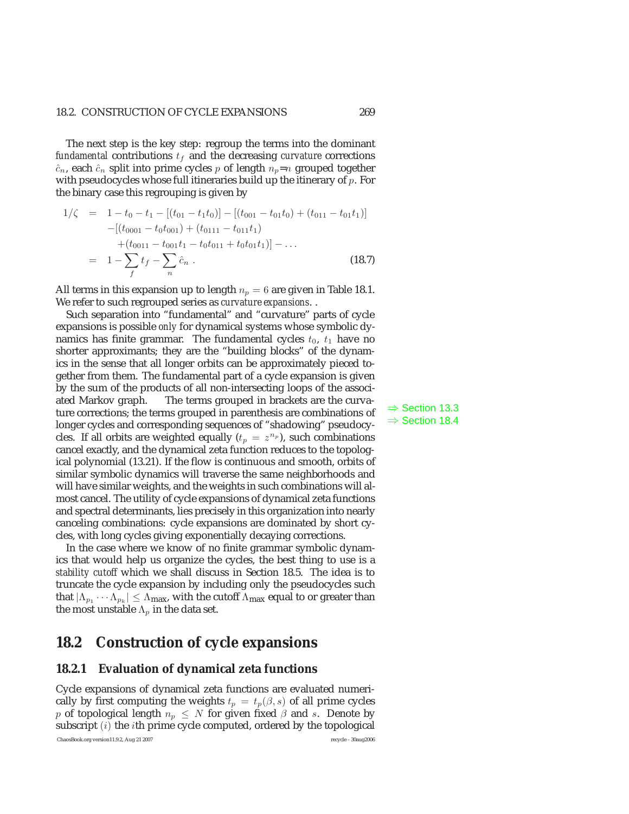#### 18.2. CONSTRUCTION OF CYCLE EXPANSIONS 269

The next step is the key step: regroup the terms into the dominant *fundamental* contributions  $t_f$  and the decreasing *curvature* corrections  $\hat{c}_n$ , each  $\hat{c}_n$  split into prime cycles p of length  $n_p=n$  grouped together with pseudocycles whose full itineraries build up the itinerary of  $p$ . For the binary case this regrouping is given by

$$
1/\zeta = 1 - t_0 - t_1 - [(t_{01} - t_1 t_0)] - [(t_{001} - t_{01} t_0) + (t_{011} - t_{01} t_1)]
$$
  
-([t\_{0001} - t\_0 t\_{001}) + (t\_{0111} - t\_{011} t\_1)  
+(t\_{0011} - t\_{001} t\_1 - t\_0 t\_{011} + t\_0 t\_{01} t\_1)] - ...  
= 1 - \sum\_f t\_f - \sum\_n \hat{c}\_n . \t\t(18.7)

All terms in this expansion up to length  $n_p = 6$  are given in Table 18.1. We refer to such regrouped series as *curvature expansions*. .

Such separation into "fundamental" and "curvature" parts of cycle expansions is possible *only* for dynamical systems whose symbolic dynamics has finite grammar. The fundamental cycles  $t_0$ ,  $t_1$  have no shorter approximants; they are the "building blocks" of the dynamics in the sense that all longer orbits can be approximately pieced together from them. The fundamental part of a cycle expansion is given by the sum of the products of all non-intersecting loops of the associated Markov graph. The terms grouped in brackets are the curva-  $\Rightarrow$  Section 13.3 ture corrections; the terms grouped in parenthesis are combinations of  $\Rightarrow$  Section 18.4  $\Rightarrow$  Section 18.4 longer cycles and corresponding sequences of "shadowing" pseudocycles. If all orbits are weighted equally  $(t_p = z^{n_p})$ , such combinations cancel exactly, and the dynamical zeta function reduces to the topological polynomial (13.21). If the flow is continuous and smooth, orbits of similar symbolic dynamics will traverse the same neighborhoods and will have similar weights, and the weights in such combinations will almost cancel. The utility of cycle expansions of dynamical zeta functions and spectral determinants, lies precisely in this organization into nearly canceling combinations: cycle expansions are dominated by short cycles, with long cycles giving exponentially decaying corrections.

In the case where we know of no finite grammar symbolic dynamics that would help us organize the cycles, the best thing to use is a *stability cutoff* which we shall discuss in Section 18.5. The idea is to truncate the cycle expansion by including only the pseudocycles such that  $|\Lambda_{p_1} \cdots \Lambda_{p_k}| \leq \Lambda_{\text{max}}$ , with the cutoff  $\Lambda_{\text{max}}$  equal to or greater than the most unstable  $\Lambda_p$  in the data set.

### **18.2 Construction of cycle expansions**

#### **18.2.1 Evaluation of dynamical zeta functions**

Cycle expansions of dynamical zeta functions are evaluated numerically by first computing the weights  $t_p = t_p(\beta, s)$  of all prime cycles p of topological length  $n_p \leq N$  for given fixed  $\beta$  and s. Denote by subscript  $(i)$  the *i*th prime cycle computed, ordered by the topological ChaosBook.org version11.9.2, Aug 21 2007 recycle - 30aug2006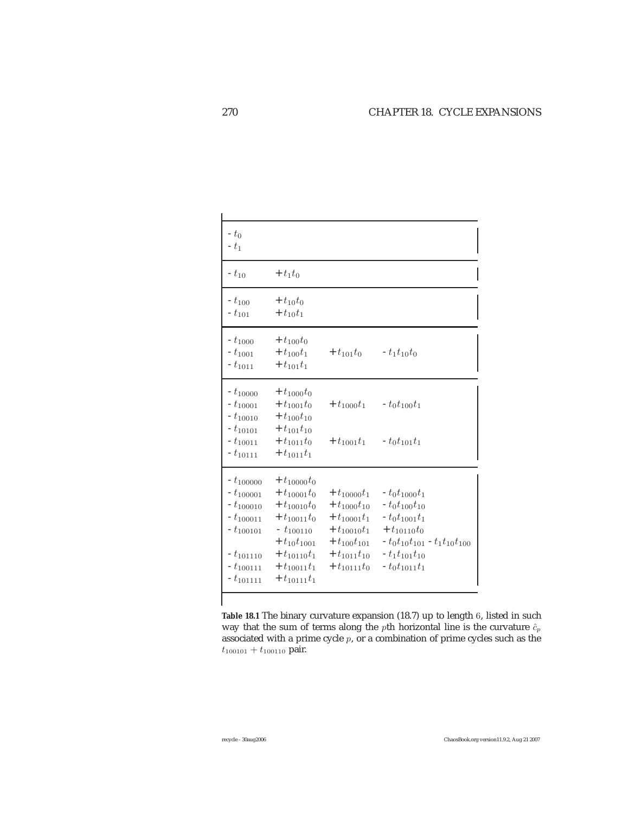| $-t_0$<br>$-t_1$                                                                                                                     |                                                                                                                                                                                      |                                                                                                                                                   |                                                                                                                                                                            |
|--------------------------------------------------------------------------------------------------------------------------------------|--------------------------------------------------------------------------------------------------------------------------------------------------------------------------------------|---------------------------------------------------------------------------------------------------------------------------------------------------|----------------------------------------------------------------------------------------------------------------------------------------------------------------------------|
| $- t_{10}$                                                                                                                           | $+ t_1 t_0$                                                                                                                                                                          |                                                                                                                                                   |                                                                                                                                                                            |
| $-t_{100}$<br>$- t_{101}$                                                                                                            | $+ t_{10}t_{0}$<br>$+ t_{10}t_1$                                                                                                                                                     |                                                                                                                                                   |                                                                                                                                                                            |
| $-t_{1000}$<br>$- t_{1001}$<br>$-t_{1011}$                                                                                           | $+ t_{100}t_0$<br>$+ t_{100}t_1$<br>$+ t_{101}t_1$                                                                                                                                   | $+ t_{101} t_0$                                                                                                                                   | $- t_1 t_{10} t_0$                                                                                                                                                         |
| $- t_{10000}$<br>$-t_{10001}$<br>$-t_{10010}$<br>$-t_{10101}$<br>$-t_{10011}$<br>$-t_{10111}$                                        | $+ t_{1000}t_0$<br>$+ t_{1001} t_0$<br>$+ t_{100}t_{10}$<br>$+ t_{101}t_{10}$<br>$+ t_{1011} t_0$<br>$+ t_{1011}t_1$                                                                 | $+ t_{1000}t_1$<br>$+ t_{1001}t_1$                                                                                                                | $-t_0t_{100}t_1$<br>$-t_0t_{101}t_1$                                                                                                                                       |
| $-t_{100000}$<br>$-t_{100001}$<br>$-t_{100010}$<br>$-t_{100011}$<br>$-t_{100101}$<br>$-t_{101110}$<br>$-t_{100111}$<br>$-t_{101111}$ | $+ t_{10000} t_0$<br>$+ t_{10001} t_0$<br>$+ t_{10010} t_0$<br>$+ t_{10011}t_0$<br>$- t_{100110}$<br>$+ t_{10} t_{1001}$<br>$+ t_{10110}t_1$<br>$+ t_{10011}t_1$<br>$+ t_{10111}t_1$ | $+ t_{10000}t_1$<br>$+ t_{1000}t_{10}$<br>$+ t_{10001}t_1$<br>$+ t_{10010}t_1$<br>$+ t_{100} t_{101}$<br>$+ t_{1011} t_{10}$<br>$+ t_{10111} t_0$ | $-t_0t_{1000}t_1$<br>$-t_0t_{100}t_{10}$<br>$-t_0t_{1001}t_1$<br>$+ t_{10110} t_0$<br>$-t_0t_{10}t_{101}$ - $t_1t_{10}t_{100}$<br>$-t_1t_{101}t_{10}$<br>$-t_0t_{1011}t_1$ |

**Table 18.1** The binary curvature expansion (18.7) up to length 6, listed in such way that the sum of terms along the pth horizontal line is the curvature  $\hat{c}_p$ associated with a prime cycle  $p$ , or a combination of prime cycles such as the  $t_{100101} + t_{100110}$  pair.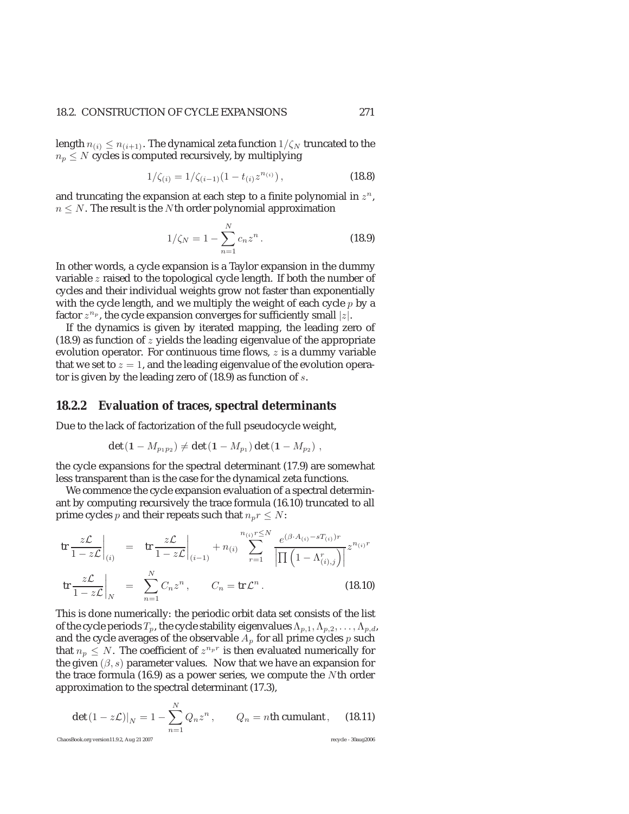#### 18.2. CONSTRUCTION OF CYCLE EXPANSIONS 271

length  $n_{(i)} \leq n_{(i+1)}$ . The dynamical zeta function  $1/\zeta_N$  truncated to the  $n_p \leq N$  cycles is computed recursively, by multiplying

$$
1/\zeta_{(i)} = 1/\zeta_{(i-1)}(1 - t_{(i)}z^{n_{(i)}}),
$$
\n(18.8)

and truncating the expansion at each step to a finite polynomial in  $z^n$ ,  $n \leq N$ . The result is the Nth order polynomial approximation

$$
1/\zeta_N = 1 - \sum_{n=1}^N c_n z^n.
$$
 (18.9)

In other words, a cycle expansion is a Taylor expansion in the dummy variable z raised to the topological cycle length. If both the number of cycles and their individual weights grow not faster than exponentially with the cycle length, and we multiply the weight of each cycle  $p$  by a factor  $z^{n_p}$ , the cycle expansion converges for sufficiently small  $|z|$ .

If the dynamics is given by iterated mapping, the leading zero of  $(18.9)$  as function of z yields the leading eigenvalue of the appropriate evolution operator. For continuous time flows, z is a dummy variable that we set to  $z = 1$ , and the leading eigenvalue of the evolution operator is given by the leading zero of (18.9) as function of s.

#### **18.2.2 Evaluation of traces, spectral determinants**

Due to the lack of factorization of the full pseudocycle weight,

$$
\det (1 - M_{p_1 p_2}) \neq \det (1 - M_{p_1}) \det (1 - M_{p_2}),
$$

the cycle expansions for the spectral determinant (17.9) are somewhat less transparent than is the case for the dynamical zeta functions.

We commence the cycle expansion evaluation of a spectral determinant by computing recursively the trace formula (16.10) truncated to all prime cycles *p* and their repeats such that  $n_p r \leq N$ :

$$
\operatorname{tr}\frac{z\mathcal{L}}{1-z\mathcal{L}}\Big|_{(i)} = \operatorname{tr}\frac{z\mathcal{L}}{1-z\mathcal{L}}\Big|_{(i-1)} + n_{(i)} \sum_{r=1}^{n_{(i)}r \le N} \frac{e^{(\beta \cdot A_{(i)} - sT_{(i)})r}}{\left|\prod_{r=1}^{n_{(i),j}}\right|} z^{n_{(i)}r}
$$
\n
$$
\operatorname{tr}\frac{z\mathcal{L}}{1-z\mathcal{L}}\Big|_{N} = \sum_{n=1}^{N} C_n z^n, \qquad C_n = \operatorname{tr}\mathcal{L}^n. \tag{18.10}
$$

This is done numerically: the periodic orbit data set consists of the list of the cycle periods  $T_p$ , the cycle stability eigenvalues  $\Lambda_{p,1}, \Lambda_{p,2}, \ldots, \Lambda_{p,d}$ , and the cycle averages of the observable  $A_p$  for all prime cycles  $p$  such that  $n_p \leq N$ . The coefficient of  $z^{n_p r}$  is then evaluated numerically for the given  $(\beta, s)$  parameter values. Now that we have an expansion for the trace formula (16.9) as a power series, we compute the Nth order approximation to the spectral determinant (17.3),

$$
\left. \det \left( 1 - z \mathcal{L} \right) \right|_{N} = 1 - \sum_{n=1}^{N} Q_n z^n, \qquad Q_n = n \text{th cumulant}, \qquad (18.11)
$$
  
\nChasBook.org version11.9.2, Aug 21 2007  
\nrecycle - Slaug2006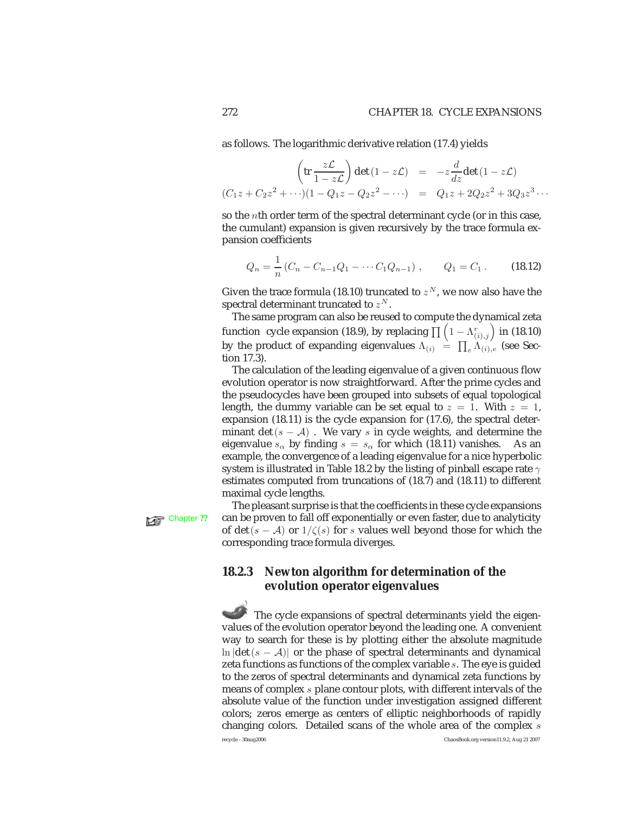as follows. The logarithmic derivative relation (17.4) yields

$$
\left(\text{tr}\frac{z\mathcal{L}}{1-z\mathcal{L}}\right)\det\left(1-z\mathcal{L}\right) = -z\frac{d}{dz}\det\left(1-z\mathcal{L}\right)
$$

$$
(C_1z + C_2z^2 + \cdots)(1 - Q_1z - Q_2z^2 - \cdots) = Q_1z + 2Q_2z^2 + 3Q_3z^3 \cdots
$$

so the nth order term of the spectral determinant cycle (or in this case, the cumulant) expansion is given recursively by the trace formula expansion coefficients

$$
Q_n = \frac{1}{n} (C_n - C_{n-1} Q_1 - \cdots C_1 Q_{n-1}), \qquad Q_1 = C_1.
$$
 (18.12)

Given the trace formula (18.10) truncated to  $z^N$ , we now also have the spectral determinant truncated to  $z^N$ .

The same program can also be reused to compute the dynamical zeta function  $\,$  cycle expansion (18.9), by replacing  $\prod \left(1-\Lambda^r_{(i),j}\right)$  in (18.10) by the product of expanding eigenvalues  $\Lambda_{(i)} \; = \; \prod_e \Lambda_{(i),e}$  (see Section 17.3).

The calculation of the leading eigenvalue of a given continuous flow evolution operator is now straightforward. After the prime cycles and the pseudocycles have been grouped into subsets of equal topological length, the dummy variable can be set equal to  $z = 1$ . With  $z = 1$ , expansion (18.11) is the cycle expansion for (17.6), the spectral determinant det  $(s - A)$ . We vary s in cycle weights, and determine the eigenvalue  $s_{\alpha}$  by finding  $s = s_{\alpha}$  for which (18.11) vanishes. As an example, the convergence of a leading eigenvalue for a nice hyperbolic system is illustrated in Table 18.2 by the listing of pinball escape rate  $\gamma$ estimates computed from truncations of (18.7) and (18.11) to different maximal cycle lengths.

The pleasant surprise is that the coefficients in these cycle expansions Chapter ?? can be proven to fall off exponentially or even faster, due to analyticity of det(s – A) or  $1/\zeta(s)$  for s values well beyond those for which the corresponding trace formula diverges.

### **18.2.3 Newton algorithm for determination of the evolution operator eigenvalues**

The cycle expansions of spectral determinants yield the eigenvalues of the evolution operator beyond the leading one. A convenient way to search for these is by plotting either the absolute magnitude ln  $|\det(s - A)|$  or the phase of spectral determinants and dynamical zeta functions as functions of the complex variable s. The eye is guided to the zeros of spectral determinants and dynamical zeta functions by means of complex s plane contour plots, with different intervals of the absolute value of the function under investigation assigned different colors; zeros emerge as centers of elliptic neighborhoods of rapidly changing colors. Detailed scans of the whole area of the complex s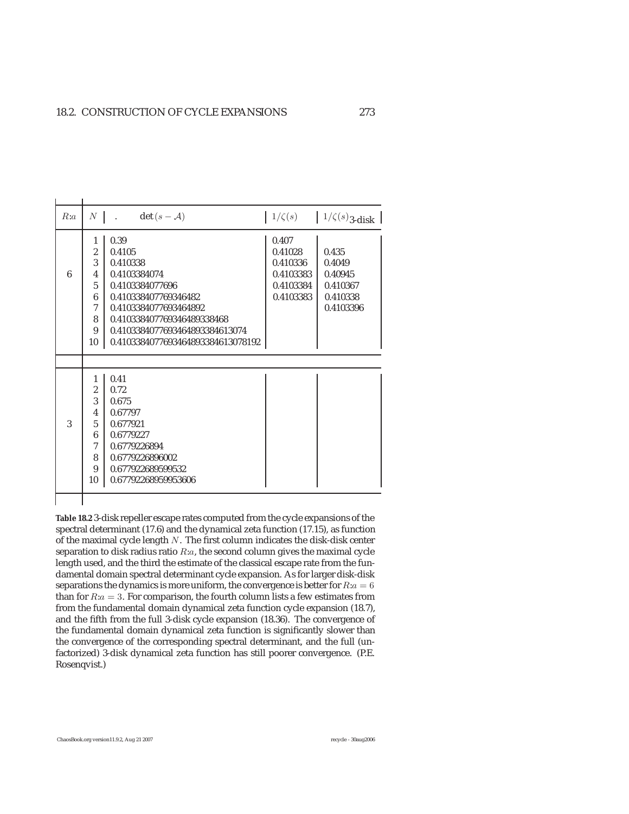| R:a |                | $\det(s - A)$<br>$N$   .          |           | $1/\zeta(s)$ $1/\zeta(s)_{3\text{-disk}}$ |
|-----|----------------|-----------------------------------|-----------|-------------------------------------------|
|     | 1              | 0.39                              | 0.407     |                                           |
|     | $\overline{2}$ | 0.4105                            | 0.41028   | 0.435                                     |
|     | 3              | 0.410338                          | 0.410336  | 0.4049                                    |
| 6   | 4              | 0.4103384074                      | 0.4103383 | 0.40945                                   |
|     | $\overline{5}$ | 0.4103384077696                   | 0.4103384 | 0.410367                                  |
|     | 6              | 0.410338407769346482              | 0.4103383 | 0.410338                                  |
|     | 7              | 0.4103384077693464892             |           | 0.4103396                                 |
|     | 8              | 0.410338407769346489338468        |           |                                           |
|     | 9              | 0.4103384077693464893384613074    |           |                                           |
|     | 10             | 0.4103384077693464893384613078192 |           |                                           |
|     |                |                                   |           |                                           |
|     | $\mathbf{1}$   | 0.41                              |           |                                           |
|     | $\overline{2}$ | 0.72                              |           |                                           |
|     | 3              | 0.675                             |           |                                           |
|     | 4              | 0.67797                           |           |                                           |
| 3   | $\overline{5}$ | 0.677921                          |           |                                           |
|     | 6              | 0.6779227                         |           |                                           |
|     | $\tau$         | 0.6779226894                      |           |                                           |
|     | 8              | 0.6779226896002                   |           |                                           |
|     |                |                                   |           |                                           |
|     | 9              | 0.677922689599532                 |           |                                           |

**Table 18.2** 3-disk repeller escape rates computed from the cycle expansions of the spectral determinant (17.6) and the dynamical zeta function (17.15), as function of the maximal cycle length N. The first column indicates the disk-disk center separation to disk radius ratio R:a, the second column gives the maximal cycle length used, and the third the estimate of the classical escape rate from the fundamental domain spectral determinant cycle expansion. As for larger disk-disk separations the dynamics is more uniform, the convergence is better for  $R: a = 6$ than for  $R: a = 3$ . For comparison, the fourth column lists a few estimates from from the fundamental domain dynamical zeta function cycle expansion (18.7), and the fifth from the full 3-disk cycle expansion (18.36). The convergence of the fundamental domain dynamical zeta function is significantly slower than the convergence of the corresponding spectral determinant, and the full (unfactorized) 3-disk dynamical zeta function has still poorer convergence. (P.E. Rosenqvist.)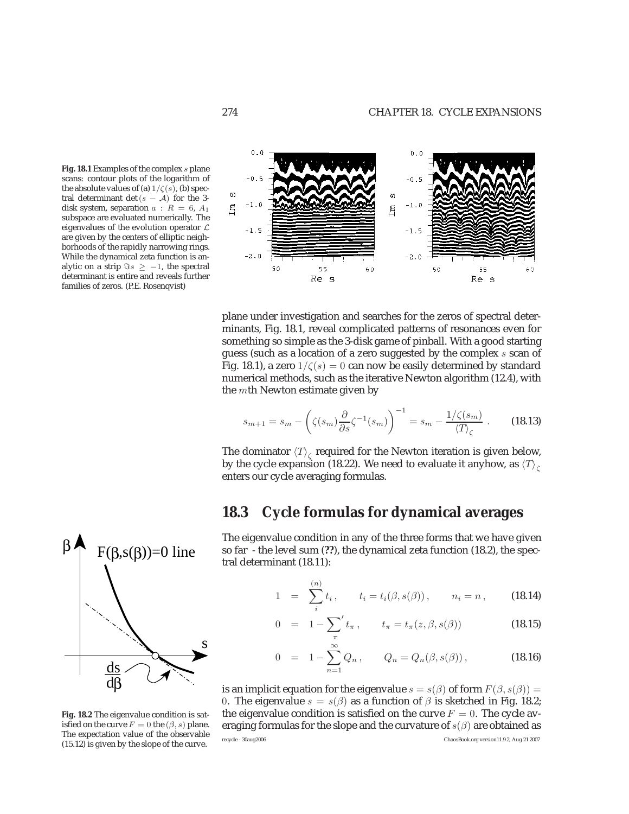



plane under investigation and searches for the zeros of spectral determinants, Fig. 18.1, reveal complicated patterns of resonances even for something so simple as the 3-disk game of pinball. With a good starting guess (such as a location of a zero suggested by the complex  $s$  scan of Fig. 18.1), a zero  $1/\zeta(s)=0$  can now be easily determined by standard numerical methods, such as the iterative Newton algorithm (12.4), with the mth Newton estimate given by

$$
s_{m+1} = s_m - \left(\zeta(s_m)\frac{\partial}{\partial s}\zeta^{-1}(s_m)\right)^{-1} = s_m - \frac{1/\zeta(s_m)}{\langle T \rangle_\zeta}.
$$
 (18.13)

The dominator  $\langle T \rangle_c$  required for the Newton iteration is given below, by the cycle expansion (18.22). We need to evaluate it anyhow, as  $\langle T \rangle_c$ enters our cycle averaging formulas.

### **18.3 Cycle formulas for dynamical averages**

The eigenvalue condition in any of the three forms that we have given so far - the level sum (**??**), the dynamical zeta function (18.2), the spectral determinant (18.11):

1 = 
$$
\sum_{i}^{(n)} t_i
$$
,  $t_i = t_i(\beta, s(\beta))$ ,  $n_i = n$ , (18.14)

$$
0 = 1 - \sum_{\pi}^{\prime} t_{\pi}, \qquad t_{\pi} = t_{\pi}(z, \beta, s(\beta)) \qquad (18.15)
$$

$$
0 = 1 - \sum_{n=1}^{\infty} Q_n, \qquad Q_n = Q_n(\beta, s(\beta)), \qquad (18.16)
$$

is an implicit equation for the eigenvalue  $s = s(\beta)$  of form  $F(\beta, s(\beta)) =$ 0. The eigenvalue  $s = s(\beta)$  as a function of  $\beta$  is sketched in Fig. 18.2; the eigenvalue condition is satisfied on the curve  $F = 0$ . The cycle averaging formulas for the slope and the curvature of  $s(\beta)$  are obtained as recycle - 30aug2006 ChaosBook.org version11.9.2, Aug 21 2007



**Fig. 18.2** The eigenvalue condition is satisfied on the curve  $F = 0$  the  $(\beta, s)$  plane. The expectation value of the observable (15.12) is given by the slope of the curve.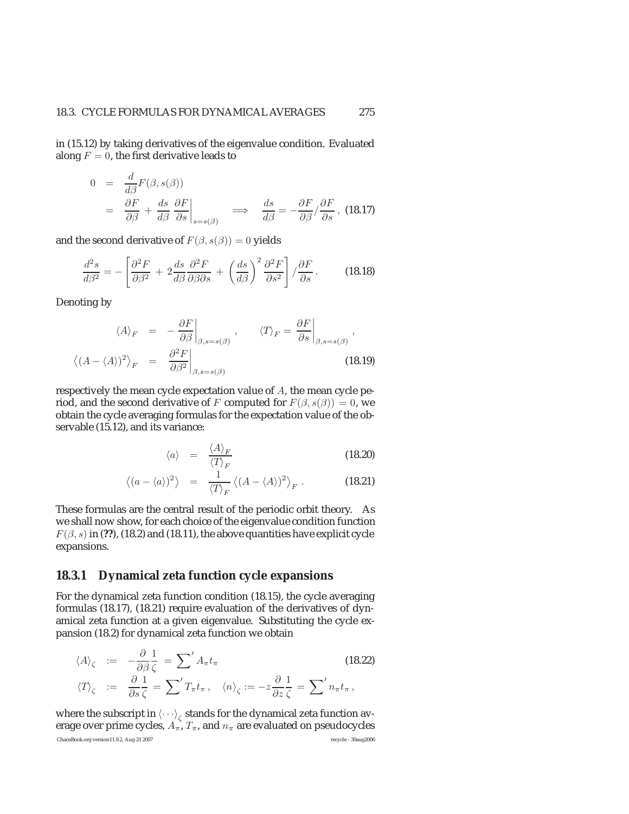in (15.12) by taking derivatives of the eigenvalue condition. Evaluated along  $F = 0$ , the first derivative leads to

$$
0 = \frac{d}{d\beta}F(\beta, s(\beta))
$$
  
=  $\frac{\partial F}{\partial \beta} + \frac{ds}{d\beta} \frac{\partial F}{\partial s}\Big|_{s=s(\beta)}$   $\implies$   $\frac{ds}{d\beta} = -\frac{\partial F}{\partial \beta} / \frac{\partial F}{\partial s}$ , (18.17)

and the second derivative of  $F(\beta, s(\beta)) = 0$  yields

$$
\frac{d^2s}{d\beta^2} = -\left[\frac{\partial^2F}{\partial\beta^2} + 2\frac{ds}{d\beta}\frac{\partial^2F}{\partial\beta\partial s} + \left(\frac{ds}{d\beta}\right)^2\frac{\partial^2F}{\partial s^2}\right] / \frac{\partial F}{\partial s}.
$$
 (18.18)

Denoting by

$$
\langle A \rangle_F = -\frac{\partial F}{\partial \beta} \Big|_{\beta, s=s(\beta)}, \qquad \langle T \rangle_F = \frac{\partial F}{\partial s} \Big|_{\beta, s=s(\beta)},
$$
  

$$
\langle (A - \langle A \rangle)^2 \rangle_F = \frac{\partial^2 F}{\partial \beta^2} \Big|_{\beta, s=s(\beta)}.
$$
(18.19)

respectively the mean cycle expectation value of A, the mean cycle period, and the second derivative of F computed for  $F(\beta, s(\beta)) = 0$ , we obtain the cycle averaging formulas for the expectation value of the observable (15.12), and its variance:

$$
\langle a \rangle = \frac{\langle A \rangle_F}{\langle T \rangle_F} \tag{18.20}
$$

$$
\langle (a - \langle a \rangle)^2 \rangle = \frac{1}{\langle T \rangle_F} \langle (A - \langle A \rangle)^2 \rangle_F . \tag{18.21}
$$

These formulas are the central result of the periodic orbit theory. As we shall now show, for each choice of the eigenvalue condition function  $F(\beta, s)$  in (??), (18.2) and (18.11), the above quantities have explicit cycle expansions.

### **18.3.1 Dynamical zeta function cycle expansions**

For the dynamical zeta function condition (18.15), the cycle averaging formulas (18.17), (18.21) require evaluation of the derivatives of dynamical zeta function at a given eigenvalue. Substituting the cycle expansion (18.2) for dynamical zeta function we obtain

$$
\langle A \rangle_{\zeta} := -\frac{\partial}{\partial \beta} \frac{1}{\zeta} = \sum' A_{\pi} t_{\pi}
$$
\n
$$
\langle T \rangle_{\zeta} := \frac{\partial}{\partial s} \frac{1}{\zeta} = \sum' T_{\pi} t_{\pi}, \quad \langle n \rangle_{\zeta} := -z \frac{\partial}{\partial z} \frac{1}{\zeta} = \sum' n_{\pi} t_{\pi},
$$
\n(18.22)

where the subscript in  $\langle \cdot \cdot \cdot \rangle_c$  stands for the dynamical zeta function average over prime cycles,  $A_{\pi}$ ,  $T_{\pi}$ , and  $n_{\pi}$  are evaluated on pseudocycles ChaosBook.org version11.9.2, Aug 21 2007 recycle - 30aug2006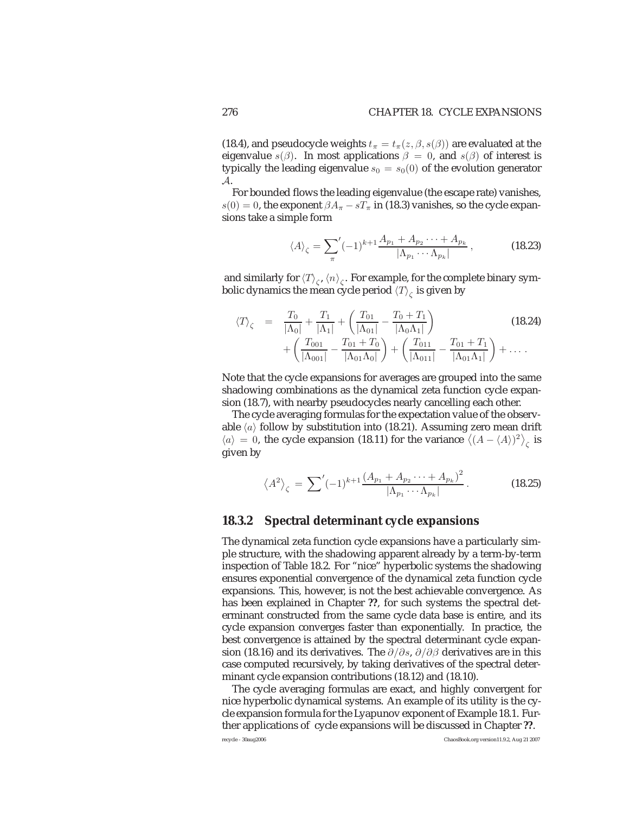(18.4), and pseudocycle weights  $t_{\pi} = t_{\pi}(z, \beta, s(\beta))$  are evaluated at the eigenvalue  $s(\beta)$ . In most applications  $\beta = 0$ , and  $s(\beta)$  of interest is typically the leading eigenvalue  $s_0 = s_0(0)$  of the evolution generator A.

For bounded flows the leading eigenvalue (the escape rate) vanishes,  $s(0) = 0$ , the exponent  $\beta A_{\pi} - sT_{\pi}$  in (18.3) vanishes, so the cycle expansions take a simple form

$$
\langle A \rangle_{\zeta} = \sum_{\pi}^{\prime} (-1)^{k+1} \frac{A_{p_1} + A_{p_2} \cdots + A_{p_k}}{|\Lambda_{p_1} \cdots \Lambda_{p_k}|}, \qquad (18.23)
$$

and similarly for  $\langle T \rangle_c$ ,  $\langle n \rangle_c$ . For example, for the complete binary symbolic dynamics the mean cycle period  $\langle T \rangle_c$  is given by

$$
\langle T \rangle_{\zeta} = \frac{T_0}{|\Lambda_0|} + \frac{T_1}{|\Lambda_1|} + \left(\frac{T_{01}}{|\Lambda_{01}|} - \frac{T_0 + T_1}{|\Lambda_0 \Lambda_1|}\right) + \left(\frac{T_{001}}{|\Lambda_{001}|} - \frac{T_{01} + T_0}{|\Lambda_{01} \Lambda_0|}\right) + \left(\frac{T_{011}}{|\Lambda_{011}|} - \frac{T_{01} + T_1}{|\Lambda_{01} \Lambda_1|}\right) + \dots
$$
 (18.24)

Note that the cycle expansions for averages are grouped into the same shadowing combinations as the dynamical zeta function cycle expansion (18.7), with nearby pseudocycles nearly cancelling each other.

The cycle averaging formulas for the expectation value of the observable  $\langle a \rangle$  follow by substitution into (18.21). Assuming zero mean drift  $\langle a \rangle = 0$ , the cycle expansion (18.11) for the variance  $\langle (A - \langle A \rangle)^2 \rangle_{\zeta}$  is given by

$$
\langle A^2 \rangle_{\zeta} = \sum' (-1)^{k+1} \frac{\left(A_{p_1} + A_{p_2} \cdots + A_{p_k}\right)^2}{|\Lambda_{p_1} \cdots \Lambda_{p_k}|}.
$$
 (18.25)

#### **18.3.2 Spectral determinant cycle expansions**

The dynamical zeta function cycle expansions have a particularly simple structure, with the shadowing apparent already by a term-by-term inspection of Table 18.2. For "nice" hyperbolic systems the shadowing ensures exponential convergence of the dynamical zeta function cycle expansions. This, however, is not the best achievable convergence. As has been explained in Chapter **??**, for such systems the spectral determinant constructed from the same cycle data base is entire, and its cycle expansion converges faster than exponentially. In practice, the best convergence is attained by the spectral determinant cycle expansion (18.16) and its derivatives. The  $\partial/\partial s$ ,  $\partial/\partial \beta$  derivatives are in this case computed recursively, by taking derivatives of the spectral determinant cycle expansion contributions (18.12) and (18.10).

The cycle averaging formulas are exact, and highly convergent for nice hyperbolic dynamical systems. An example of its utility is the cycle expansion formula for the Lyapunov exponent of Example 18.1. Further applications of cycle expansions will be discussed in Chapter **??**.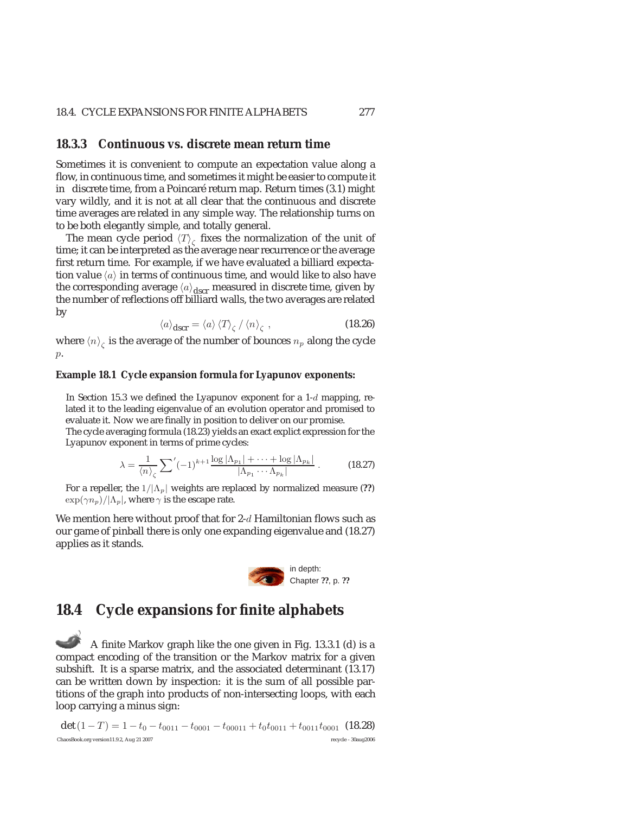#### 18.4. CYCLE EXPANSIONS FOR FINITE ALPHABETS 277

#### **18.3.3 Continuous vs. discrete mean return time**

Sometimes it is convenient to compute an expectation value along a flow, in continuous time, and sometimes it might be easier to compute it in discrete time, from a Poincaré return map. Return times (3.1) might vary wildly, and it is not at all clear that the continuous and discrete time averages are related in any simple way. The relationship turns on to be both elegantly simple, and totally general.

The mean cycle period  $\langle T \rangle_c$  fixes the normalization of the unit of time; it can be interpreted as the average near recurrence or the average first return time. For example, if we have evaluated a billiard expectation value  $\langle a \rangle$  in terms of continuous time, and would like to also have the corresponding average  $\langle a \rangle_{\text{dscr}}$  measured in discrete time, given by the number of reflections off billiard walls, the two averages are related by

$$
\langle a \rangle_{\text{dscr}} = \langle a \rangle \langle T \rangle_{\zeta} / \langle n \rangle_{\zeta} , \qquad (18.26)
$$

where  $\langle n \rangle_c$  is the average of the number of bounces  $n_p$  along the cycle p.

#### **Example 18.1 Cycle expansion formula for Lyapunov exponents:**

In Section 15.3 we defined the Lyapunov exponent for a  $1-d$  mapping, related it to the leading eigenvalue of an evolution operator and promised to evaluate it. Now we are finally in position to deliver on our promise.

The cycle averaging formula (18.23) yields an exact explict expression for the Lyapunov exponent in terms of prime cycles:

$$
\lambda = \frac{1}{\langle n \rangle_{\zeta}} \sum' (-1)^{k+1} \frac{\log |\Lambda_{p_1}| + \dots + \log |\Lambda_{p_k}|}{|\Lambda_{p_1} \cdots \Lambda_{p_k}|}.
$$
 (18.27)

For a repeller, the  $1/|\Lambda_p|$  weights are replaced by normalized measure (??)  $\exp(\gamma n_p)/|\Lambda_p|$ , where  $\gamma$  is the escape rate.

We mention here without proof that for  $2-d$  Hamiltonian flows such as our game of pinball there is only one expanding eigenvalue and (18.27) applies as it stands.



### **18.4 Cycle expansions for finite alphabets**

A finite Markov graph like the one given in Fig. 13.3.1 (d) is a compact encoding of the transition or the Markov matrix for a given subshift. It is a sparse matrix, and the associated determinant (13.17) can be written down by inspection: it is the sum of all possible partitions of the graph into products of non-intersecting loops, with each loop carrying a minus sign:

det (1 − T) = 1 − t<sub>0</sub> − t<sub>0011</sub> − t<sub>0001</sub> − t<sub>00011</sub> + t<sub>0</sub>t<sub>0011</sub> + t<sub>0011</sub>t<sub>0001</sub> (18.28) ChaosBook.org version11.9.2, Aug 21 2007 recycle - 30aug2006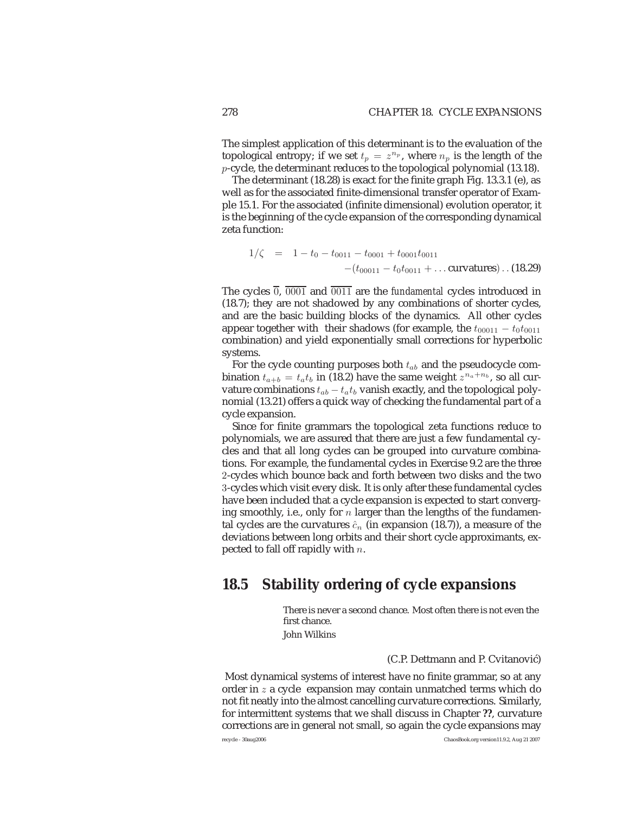The simplest application of this determinant is to the evaluation of the topological entropy; if we set  $t_p = z^{n_p}$ , where  $n_p$  is the length of the p-cycle, the determinant reduces to the topological polynomial (13.18).

The determinant (18.28) is exact for the finite graph Fig. 13.3.1 (e), as well as for the associated finite-dimensional transfer operator of Example 15.1. For the associated (infinite dimensional) evolution operator, it is the beginning of the cycle expansion of the corresponding dynamical zeta function:

$$
1/\zeta = 1 - t_0 - t_{0011} - t_{0001} + t_{0001}t_{0011}
$$

$$
-(t_{00011} - t_0t_{0011} + \dots \text{curvatures}) \dots (18.29)
$$

The cycles  $\overline{0}$ ,  $\overline{0001}$  and  $\overline{0011}$  are the *fundamental* cycles introduced in (18.7); they are not shadowed by any combinations of shorter cycles, and are the basic building blocks of the dynamics. All other cycles appear together with their shadows (for example, the  $t_{00011} - t_0t_{0011}$ combination) and yield exponentially small corrections for hyperbolic systems.

For the cycle counting purposes both  $t_{ab}$  and the pseudocycle combination  $t_{a+b} = t_a t_b$  in (18.2) have the same weight  $z^{n_a+n_b}$ , so all curvature combinations  $t_{ab} - t_a t_b$  vanish exactly, and the topological polynomial (13.21) offers a quick way of checking the fundamental part of a cycle expansion.

Since for finite grammars the topological zeta functions reduce to polynomials, we are assured that there are just a few fundamental cycles and that all long cycles can be grouped into curvature combinations. For example, the fundamental cycles in Exercise 9.2 are the three 2-cycles which bounce back and forth between two disks and the two 3-cycles which visit every disk. It is only after these fundamental cycles have been included that a cycle expansion is expected to start converging smoothly, i.e., only for n larger than the lengths of the fundamental cycles are the curvatures  $\hat{c}_n$  (in expansion (18.7)), a measure of the deviations between long orbits and their short cycle approximants, expected to fall off rapidly with  $n$ .

## **18.5 Stability ordering of cycle expansions**

There is never a second chance. Most often there is not even the first chance.

John Wilkins

#### (C.P. Dettmann and P. Cvitanović)

Most dynamical systems of interest have no finite grammar, so at any order in  $z$  a cycle expansion may contain unmatched terms which do not fit neatly into the almost cancelling curvature corrections. Similarly, for intermittent systems that we shall discuss in Chapter **??**, curvature corrections are in general not small, so again the cycle expansions may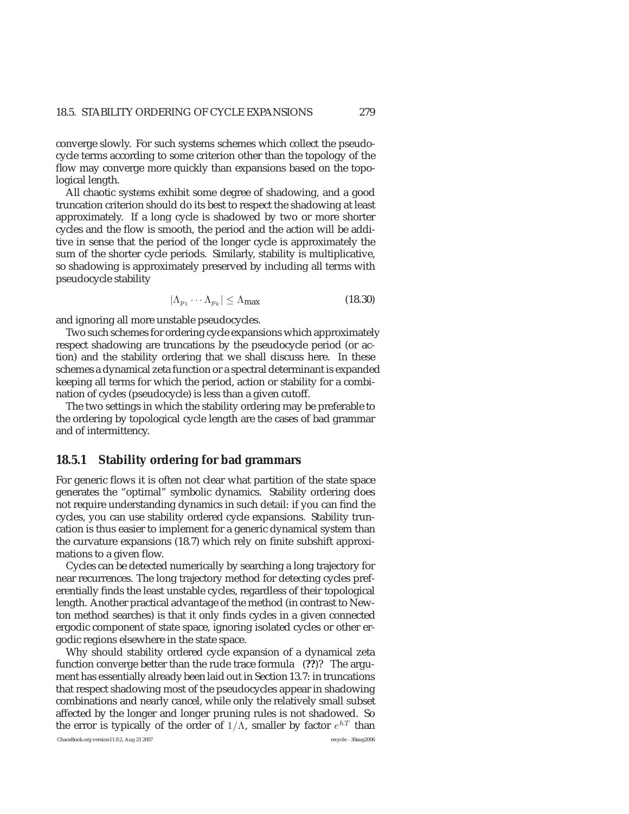converge slowly. For such systems schemes which collect the pseudocycle terms according to some criterion other than the topology of the flow may converge more quickly than expansions based on the topological length.

All chaotic systems exhibit some degree of shadowing, and a good truncation criterion should do its best to respect the shadowing at least approximately. If a long cycle is shadowed by two or more shorter cycles and the flow is smooth, the period and the action will be additive in sense that the period of the longer cycle is approximately the sum of the shorter cycle periods. Similarly, stability is multiplicative, so shadowing is approximately preserved by including all terms with pseudocycle stability

$$
|\Lambda_{p_1} \cdots \Lambda_{p_k}| \le \Lambda_{\text{max}} \tag{18.30}
$$

and ignoring all more unstable pseudocycles.

Two such schemes for ordering cycle expansions which approximately respect shadowing are truncations by the pseudocycle period (or action) and the stability ordering that we shall discuss here. In these schemes a dynamical zeta function or a spectral determinant is expanded keeping all terms for which the period, action or stability for a combination of cycles (pseudocycle) is less than a given cutoff.

The two settings in which the stability ordering may be preferable to the ordering by topological cycle length are the cases of bad grammar and of intermittency.

#### **18.5.1 Stability ordering for bad grammars**

For generic flows it is often not clear what partition of the state space generates the "optimal" symbolic dynamics. Stability ordering does not require understanding dynamics in such detail: if you can find the cycles, you can use stability ordered cycle expansions. Stability truncation is thus easier to implement for a generic dynamical system than the curvature expansions (18.7) which rely on finite subshift approximations to a given flow.

Cycles can be detected numerically by searching a long trajectory for near recurrences. The long trajectory method for detecting cycles preferentially finds the least unstable cycles, regardless of their topological length. Another practical advantage of the method (in contrast to Newton method searches) is that it only finds cycles in a given connected ergodic component of state space, ignoring isolated cycles or other ergodic regions elsewhere in the state space.

Why should stability ordered cycle expansion of a dynamical zeta function converge better than the rude trace formula (**??**)? The argument has essentially already been laid out in Section 13.7: in truncations that respect shadowing most of the pseudocycles appear in shadowing combinations and nearly cancel, while only the relatively small subset affected by the longer and longer pruning rules is not shadowed. So the error is typically of the order of  $1/\Lambda$ , smaller by factor  $e^{hT}$  than

ChaosBook.org version11.9.2, Aug 21 2007 recycle - 30aug2006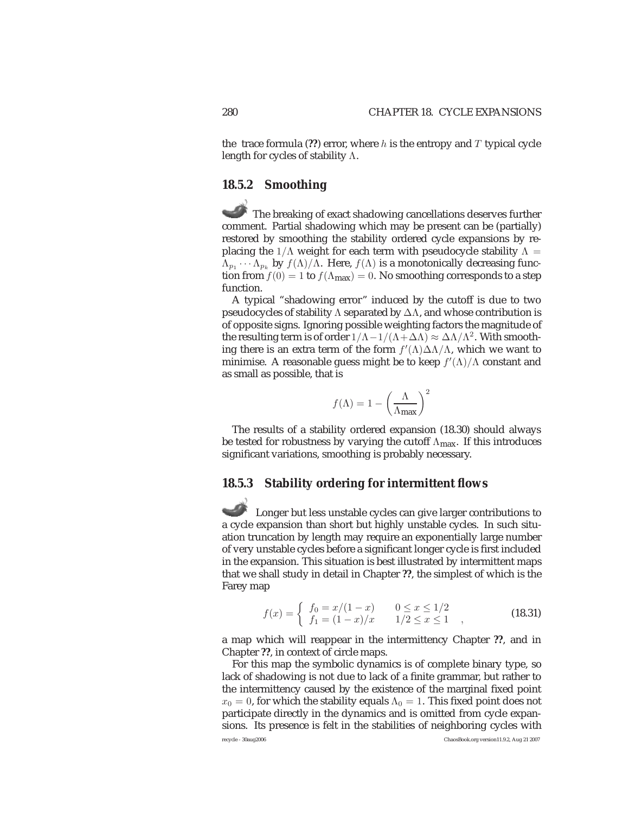the trace formula  $(?)$  error, where h is the entropy and T typical cycle length for cycles of stability Λ.

#### **18.5.2 Smoothing**

The breaking of exact shadowing cancellations deserves further comment. Partial shadowing which may be present can be (partially) restored by smoothing the stability ordered cycle expansions by replacing the  $1/\Lambda$  weight for each term with pseudocycle stability  $\Lambda =$  $\Lambda_{p_1} \cdots \Lambda_{p_k}$  by  $f(\Lambda)/\Lambda$ . Here,  $f(\Lambda)$  is a monotonically decreasing function from  $f(0) = 1$  to  $f(\Lambda_{\text{max}}) = 0$ . No smoothing corresponds to a step function.

A typical "shadowing error" induced by the cutoff is due to two pseudocycles of stability Λ separated by  $\Delta\Lambda$ , and whose contribution is of opposite signs. Ignoring possible weighting factors the magnitude of the resulting term is of order  $1/\Lambda - 1/(\Lambda + \Delta\Lambda) \approx \Delta\Lambda/\Lambda^2$ . With smoothing there is an extra term of the form  $f'(\Lambda)\Delta\Lambda/\Lambda$ , which we want to minimise. A reasonable guess might be to keep  $f'(\Lambda)/\Lambda$  constant and as small as possible, that is

$$
f(\Lambda) = 1 - \left(\frac{\Lambda}{\Lambda_{\text{max}}}\right)^2
$$

The results of a stability ordered expansion (18.30) should always be tested for robustness by varying the cutoff  $\Lambda_{\text{max}}$ . If this introduces significant variations, smoothing is probably necessary.

### **18.5.3 Stability ordering for intermittent flows**

Longer but less unstable cycles can give larger contributions to a cycle expansion than short but highly unstable cycles. In such situation truncation by length may require an exponentially large number of very unstable cycles before a significant longer cycle is first included in the expansion. This situation is best illustrated by intermittent maps that we shall study in detail in Chapter **??**, the simplest of which is the Farey map

$$
f(x) = \begin{cases} f_0 = x/(1-x) & 0 \le x \le 1/2 \\ f_1 = (1-x)/x & 1/2 \le x \le 1 \end{cases}
$$
 (18.31)

a map which will reappear in the intermittency Chapter **??**, and in Chapter **??**, in context of circle maps.

For this map the symbolic dynamics is of complete binary type, so lack of shadowing is not due to lack of a finite grammar, but rather to the intermittency caused by the existence of the marginal fixed point  $x_0 = 0$ , for which the stability equals  $\Lambda_0 = 1$ . This fixed point does not participate directly in the dynamics and is omitted from cycle expansions. Its presence is felt in the stabilities of neighboring cycles with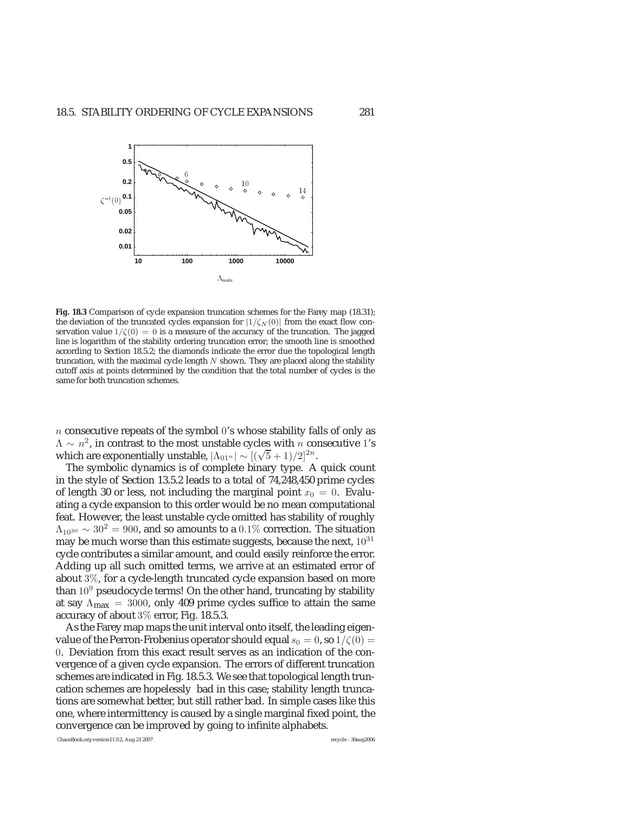

**Fig. 18.3** Comparison of cycle expansion truncation schemes for the Farey map (18.31); the deviation of the truncated cycles expansion for  $|1/\zeta_N(0)|$  from the exact flow conservation value  $1/\zeta(0) = 0$  is a measure of the accuracy of the truncation. The jagged line is logarithm of the stability ordering truncation error; the smooth line is smoothed according to Section 18.5.2; the diamonds indicate the error due the topological length truncation, with the maximal cycle length  $N$  shown. They are placed along the stability cutoff axis at points determined by the condition that the total number of cycles is the same for both truncation schemes.

 $n$  consecutive repeats of the symbol 0's whose stability falls of only as  $\Lambda \sim n^2$ , in contrast to the most unstable cycles with *n* consecutive 1's which are exponentially unstable,  $|\Lambda_{01^n}| \sim [(\sqrt{5}+1)/2]^{2n}$ .

The symbolic dynamics is of complete binary type. A quick count in the style of Section 13.5.2 leads to a total of 74,248,450 prime cycles of length 30 or less, not including the marginal point  $x_0 = 0$ . Evaluating a cycle expansion to this order would be no mean computational feat. However, the least unstable cycle omitted has stability of roughly  $\Lambda_{10^{30}} \sim 30^2 = 900$ , and so amounts to a 0.1% correction. The situation may be much worse than this estimate suggests, because the next,  $10^{31}$ cycle contributes a similar amount, and could easily reinforce the error. Adding up all such omitted terms, we arrive at an estimated error of about 3%, for a cycle-length truncated cycle expansion based on more than  $10<sup>9</sup>$  pseudocycle terms! On the other hand, truncating by stability at say  $\Lambda_{\text{max}} = 3000$ , only 409 prime cycles suffice to attain the same accuracy of about 3% error, Fig. 18.5.3.

As the Farey map maps the unit interval onto itself, the leading eigenvalue of the Perron-Frobenius operator should equal  $s_0 = 0$ , so  $1/\zeta(0) =$ 0. Deviation from this exact result serves as an indication of the convergence of a given cycle expansion. The errors of different truncation schemes are indicated in Fig. 18.5.3. We see that topological length truncation schemes are hopelessly bad in this case; stability length truncations are somewhat better, but still rather bad. In simple cases like this one, where intermittency is caused by a single marginal fixed point, the convergence can be improved by going to infinite alphabets.

ChaosBook.org version11.9.2, Aug 21 2007 recycle - 30aug2006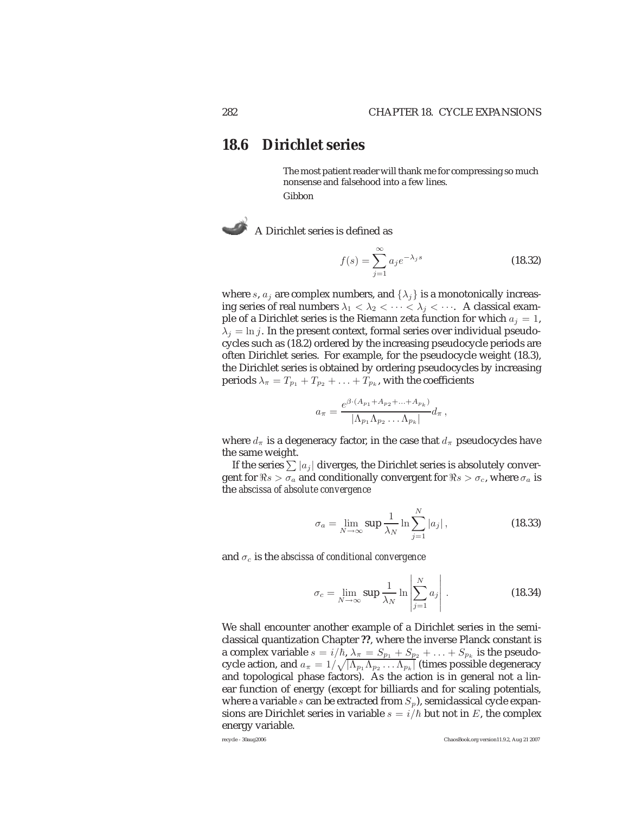### **18.6 Dirichlet series**

The most patient reader will thank me for compressing so much nonsense and falsehood into a few lines. Gibbon

A Dirichlet series is defined as

$$
f(s) = \sum_{j=1}^{\infty} a_j e^{-\lambda_j s}
$$
 (18.32)

where s,  $a_i$  are complex numbers, and  $\{\lambda_i\}$  is a monotonically increasing series of real numbers  $\lambda_1 < \lambda_2 < \cdots < \lambda_j < \cdots$ . A classical example of a Dirichlet series is the Riemann zeta function for which  $a_i = 1$ ,  $\lambda_j = \ln j$ . In the present context, formal series over individual pseudocycles such as (18.2) ordered by the increasing pseudocycle periods are often Dirichlet series. For example, for the pseudocycle weight (18.3), the Dirichlet series is obtained by ordering pseudocycles by increasing periods  $\lambda_{\pi} = T_{p_1} + T_{p_2} + \ldots + T_{p_k}$ , with the coefficients

$$
a_{\pi} = \frac{e^{\beta \cdot (A_{p_1} + A_{p_2} + \ldots + A_{p_k})}}{|\Lambda_{p_1} \Lambda_{p_2} \ldots \Lambda_{p_k}|} d_{\pi},
$$

where  $d_{\pi}$  is a degeneracy factor, in the case that  $d_{\pi}$  pseudocycles have the same weight.

If the series  $\sum |a_j|$  diverges, the Dirichlet series is absolutely convergent for  $\Re s > \sigma_a$  and conditionally convergent for  $\Re s > \sigma_c$ , where  $\sigma_a$  is the *abscissa of absolute convergence*

$$
\sigma_a = \lim_{N \to \infty} \sup \frac{1}{\lambda_N} \ln \sum_{j=1}^N |a_j| \,, \tag{18.33}
$$

and  $\sigma_c$  is the *abscissa of conditional convergence* 

$$
\sigma_c = \lim_{N \to \infty} \sup \frac{1}{\lambda_N} \ln \left| \sum_{j=1}^N a_j \right| \,. \tag{18.34}
$$

We shall encounter another example of a Dirichlet series in the semiclassical quantization Chapter **??**, where the inverse Planck constant is a complex variable  $s = i/\hbar$ ,  $\lambda_{\pi} = S_{p_1} + S_{p_2} + \ldots + S_{p_k}$  is the pseudocycle action, and  $a_\pi=1/\sqrt{|\Lambda_{p_1}\Lambda_{p_2}\dots\Lambda_{p_k}|}$  (times possible degeneracy and topological phase factors). As the action is in general not a linear function of energy (except for billiards and for scaling potentials, where a variable s can be extracted from  $S_p$ ), semiclassical cycle expansions are Dirichlet series in variable  $s = i/\hbar$  but not in E, the complex energy variable.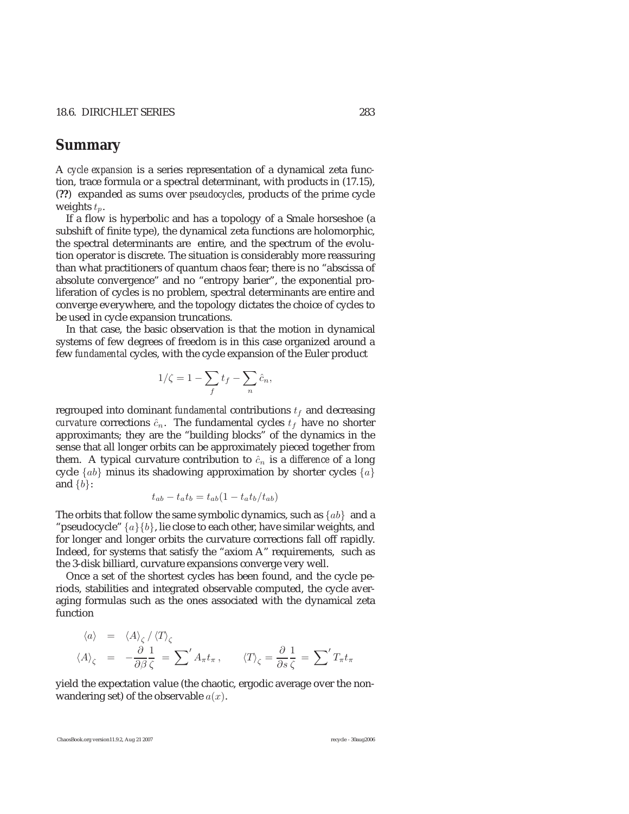### **Summary**

A *cycle expansion* is a series representation of a dynamical zeta function, trace formula or a spectral determinant, with products in (17.15), (**??**) expanded as sums over *pseudocycles*, products of the prime cycle weights  $t_p$ .

If a flow is hyperbolic and has a topology of a Smale horseshoe (a subshift of finite type), the dynamical zeta functions are holomorphic, the spectral determinants are entire, and the spectrum of the evolution operator is discrete. The situation is considerably more reassuring than what practitioners of quantum chaos fear; there is no "abscissa of absolute convergence" and no "entropy barier", the exponential proliferation of cycles is no problem, spectral determinants are entire and converge everywhere, and the topology dictates the choice of cycles to be used in cycle expansion truncations.

In that case, the basic observation is that the motion in dynamical systems of few degrees of freedom is in this case organized around a few *fundamental* cycles, with the cycle expansion of the Euler product

$$
1/\zeta = 1 - \sum_f t_f - \sum_n \hat{c}_n,
$$

regrouped into dominant *fundamental* contributions  $t_f$  and decreasing *curvature* corrections  $\hat{c}_n$ . The fundamental cycles  $t_f$  have no shorter approximants; they are the "building blocks" of the dynamics in the sense that all longer orbits can be approximately pieced together from them. A typical curvature contribution to  $\hat{c}_n$  is a *difference* of a long cycle  $\{ab\}$  minus its shadowing approximation by shorter cycles  $\{a\}$ and  $\{b\}$ :

$$
t_{ab} - t_a t_b = t_{ab} (1 - t_a t_b / t_{ab})
$$

The orbits that follow the same symbolic dynamics, such as  $\{ab\}$  and a "pseudocycle"  $\{a\}\{b\}$ , lie close to each other, have similar weights, and for longer and longer orbits the curvature corrections fall off rapidly. Indeed, for systems that satisfy the "axiom A" requirements, such as the 3-disk billiard, curvature expansions converge very well.

Once a set of the shortest cycles has been found, and the cycle periods, stabilities and integrated observable computed, the cycle averaging formulas such as the ones associated with the dynamical zeta function

$$
\langle a \rangle = \langle A \rangle_{\zeta} / \langle T \rangle_{\zeta}
$$
  

$$
\langle A \rangle_{\zeta} = -\frac{\partial}{\partial \beta} \frac{1}{\zeta} = \sum' A_{\pi} t_{\pi}, \qquad \langle T \rangle_{\zeta} = \frac{\partial}{\partial s} \frac{1}{\zeta} = \sum' T_{\pi} t_{\pi}
$$

yield the expectation value (the chaotic, ergodic average over the nonwandering set) of the observable  $a(x)$ .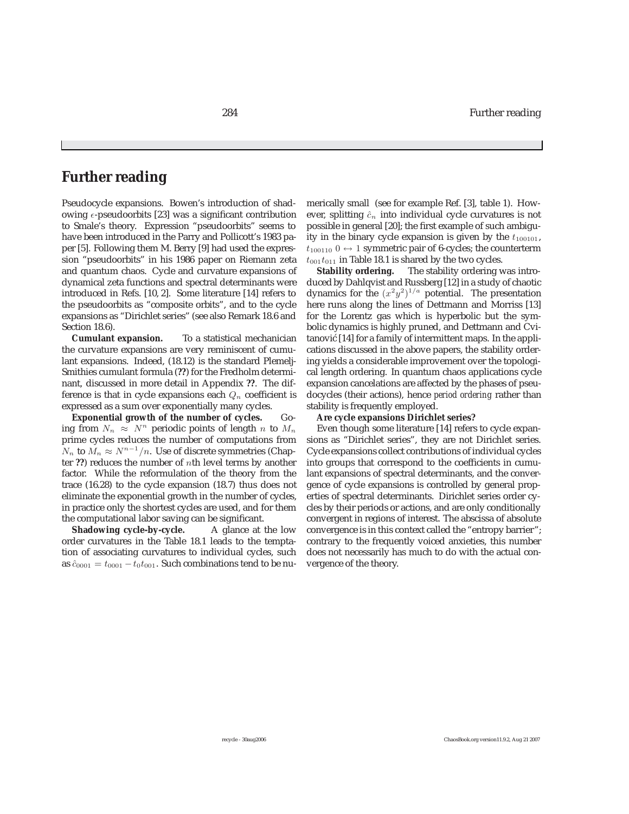### **Further reading**

Pseudocycle expansions. Bowen's introduction of shadowing  $\epsilon$ -pseudoorbits [23] was a significant contribution to Smale's theory. Expression "pseudoorbits" seems to have been introduced in the Parry and Pollicott's 1983 paper [5]. Following them M. Berry [9] had used the expression "pseudoorbits" in his 1986 paper on Riemann zeta and quantum chaos. Cycle and curvature expansions of dynamical zeta functions and spectral determinants were introduced in Refs. [10, 2]. Some literature [14] refers to the pseudoorbits as "composite orbits", and to the cycle expansions as "Dirichlet series" (see also Remark 18.6 and Section 18.6).

**Cumulant expansion.** To a statistical mechanician the curvature expansions are very reminiscent of cumulant expansions. Indeed, (18.12) is the standard Plemelj-Smithies cumulant formula (**??**) for the Fredholm determinant, discussed in more detail in Appendix **??**. The difference is that in cycle expansions each  $Q_n$  coefficient is expressed as a sum over exponentially many cycles.

**Exponential growth of the number of cycles.** Going from  $N_n \approx N^n$  periodic points of length n to  $M_n$ prime cycles reduces the number of computations from  $N_n$  to  $M_n \approx N^{n-1}/n$ . Use of discrete symmetries (Chapter **??**) reduces the number of nth level terms by another factor. While the reformulation of the theory from the trace (16.28) to the cycle expansion (18.7) thus does not eliminate the exponential growth in the number of cycles, in practice only the shortest cycles are used, and for them the computational labor saving can be significant.

**Shadowing cycle-by-cycle.** A glance at the low order curvatures in the Table 18.1 leads to the temptation of associating curvatures to individual cycles, such as  $\hat{c}_{0001} = t_{0001} - t_0 t_{001}$ . Such combinations tend to be numerically small (see for example Ref. [3], table 1). However, splitting  $\hat{c}_n$  into individual cycle curvatures is not possible in general [20]; the first example of such ambiguity in the binary cycle expansion is given by the  $t_{100101}$ ,  $t_{100110}$  0  $\leftrightarrow$  1 symmetric pair of 6-cycles; the counterterm  $t_{001}t_{011}$  in Table 18.1 is shared by the two cycles.

**Stability ordering.** The stability ordering was introduced by Dahlqvist and Russberg [12] in a study of chaotic dynamics for the  $(x^2y^2)^{1/a}$  potential. The presentation<br>here runs along the lines of Dettmann and Morriss [13] here runs along the lines of Dettmann and Morriss [13] for the Lorentz gas which is hyperbolic but the symbolic dynamics is highly pruned, and Dettmann and Cvitanović [14] for a family of intermittent maps. In the applications discussed in the above papers, the stability ordering yields a considerable improvement over the topological length ordering. In quantum chaos applications cycle expansion cancelations are affected by the phases of pseudocycles (their actions), hence *period ordering* rather than stability is frequently employed.

#### **Are cycle expansions Dirichlet series?**

Even though some literature [14] refers to cycle expansions as "Dirichlet series", they are not Dirichlet series. Cycle expansions collect contributions of individual cycles into groups that correspond to the coefficients in cumulant expansions of spectral determinants, and the convergence of cycle expansions is controlled by general properties of spectral determinants. Dirichlet series order cycles by their periods or actions, and are only conditionally convergent in regions of interest. The abscissa of absolute convergence is in this context called the "entropy barrier"; contrary to the frequently voiced anxieties, this number does not necessarily has much to do with the actual convergence of the theory.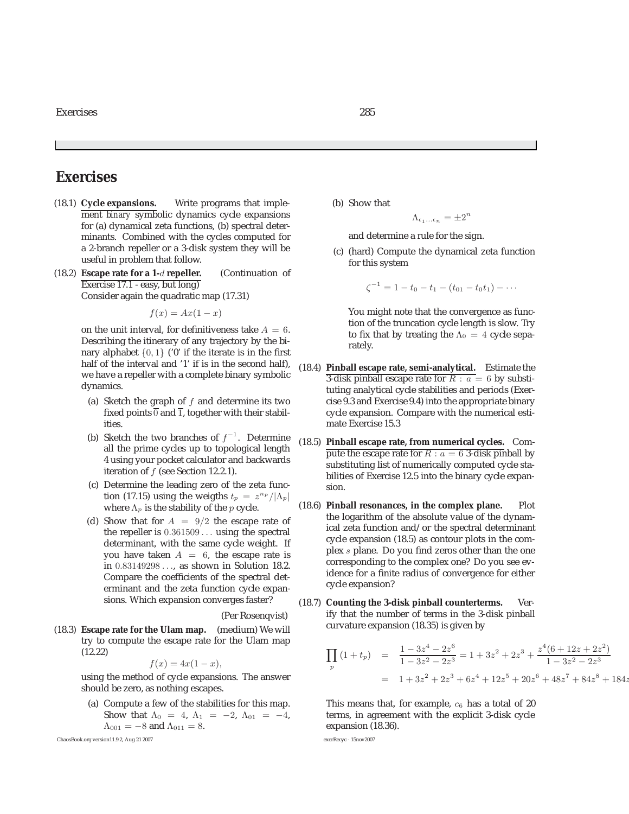### **Exercises**

- (18.1) **Cycle expansions.** Write programs that implement *binary* symbolic dynamics cycle expansions for (a) dynamical zeta functions, (b) spectral determinants. Combined with the cycles computed for a 2-branch repeller or a 3-disk system they will be useful in problem that follow.
- (18.2) **Escape rate for a 1-**d **repeller.** (Continuation of Exercise 17.1 - easy, but long) Consider again the quadratic map (17.31)

 $f(x) = Ax(1 - x)$ 

on the unit interval, for definitiveness take  $A = 6$ . Describing the itinerary of any trajectory by the binary alphabet  $\{0, 1\}$  ('0' if the iterate is in the first half of the interval and '1' if is in the second half), we have a repeller with a complete binary symbolic dynamics.

- (a) Sketch the graph of  $f$  and determine its two fixed points  $\overline{0}$  and  $\overline{1}$ , together with their stabilities.
- (b) Sketch the two branches of  $f^{-1}$ . Determine all the prime cycles up to topological length 4 using your pocket calculator and backwards iteration of  $f$  (see Section 12.2.1).
- (c) Determine the leading zero of the zeta function (17.15) using the weigths  $t_p = z^{n_p}/|\Lambda_p|$ where  $\Lambda_p$  is the stability of the p cycle.
- (d) Show that for  $A = 9/2$  the escape rate of the repeller is 0.361509 ... using the spectral determinant, with the same cycle weight. If you have taken  $A = 6$ , the escape rate is in 0.83149298 ..., as shown in Solution 18.2. Compare the coefficients of the spectral determinant and the zeta function cycle expansions. Which expansion converges faster?

(Per Rosenqvist)

(18.3) **Escape rate for the Ulam map.** (medium) We will try to compute the escape rate for the Ulam map (12.22)

$$
f(x) = 4x(1 - x)
$$

 $f(x) = 4x(1 - x)$ ,<br>using the method of cycle expansions. The answer should be zero, as nothing escapes.

(a) Compute a few of the stabilities for this map. Show that  $\Lambda_0 = 4$ ,  $\Lambda_1 = -2$ ,  $\Lambda_{01} = -4$ ,  $\Lambda_{001} = -8$  and  $\Lambda_{011} = 8$ .

ChaosBook.org version11.9.2, Aug 21 2007 exerRecyc - 15nov2007

(b) Show that

$$
\Lambda_{\epsilon_1...\epsilon_n}=\pm 2^n
$$

and determine a rule for the sign.

(c) (hard) Compute the dynamical zeta function for this system

$$
\zeta^{-1} = 1 - t_0 - t_1 - (t_{01} - t_0 t_1) - \cdots
$$

You might note that the convergence as function of the truncation cycle length is slow. Try to fix that by treating the  $\Lambda_0 = 4$  cycle separately.

- (18.4) **Pinball escape rate, semi-analytical.** Estimate the 3-disk pinball escape rate for  $R : a = 6$  by substituting analytical cycle stabilities and periods (Exercise 9.3 and Exercise 9.4) into the appropriate binary cycle expansion. Compare with the numerical estimate Exercise 15.3
- (18.5) **Pinball escape rate, from numerical cycles.** Compute the escape rate for  $R : a = 6$  3-disk pinball by substituting list of numerically computed cycle stabilities of Exercise 12.5 into the binary cycle expansion.
- (18.6) **Pinball resonances, in the complex plane.** Plot the logarithm of the absolute value of the dynamical zeta function and/or the spectral determinant cycle expansion (18.5) as contour plots in the complex s plane. Do you find zeros other than the one corresponding to the complex one? Do you see evidence for a finite radius of convergence for either cycle expansion?
- (18.7) **Counting the 3-disk pinball counterterms.** Verify that the number of terms in the 3-disk pinball curvature expansion (18.35) is given by

$$
\prod_{p} (1+t_p) = \frac{1-3z^4 - 2z^6}{1-3z^2 - 2z^3} = 1 + 3z^2 + 2z^3 + \frac{z^4(6+12z+2z^2)}{1-3z^2 - 2z^3}
$$

$$
= 1 + 3z^2 + 2z^3 + 6z^4 + 12z^5 + 20z^6 + 48z^7 + 84z^8 + 184z^7 + 12z^8 + 184z^8 + 184z^9 + 184z^8 + 184z^9 + 184z^8 + 184z^9 + 184z^9 + 184z^8 + 184z^9 + 184z^9 + 184z^9 + 184z^8 + 184z^9 + 184z^9 + 184z^9 + 184z^9 + 184z^8 + 184z^9 + 184z^9 + 184z^9 + 184z^9 + 184z^9 + 184z^8 + 184z^9 + 184z^9 + 184z^9 + 184z^8 + 184z^9 + 184z^9 + 184z^9 + 184z^8 + 184z^9 + 184z^9 + 184z^9 + 184z^8 + 184z^9 + 184z^9 + 184z^9 + 184z^9 + 184z^9 + 184z^9 + 184z^8 + 184z^9 + 184z^9 + 184z^9 + 184z^9 + 184z^8 + 184z^9 + 184z^9 + 184z^9 + 184z^9 + 184z^9 + 184z^9 + 184z^9 + 184z^9 + 184z^9 + 184z^9 + 184z^9 + 184z^9 + 184z^9 + 184z^9 + 184z^9 + 184z^9 + 184z^9 + 184z^9 + 184z^9 + 184z^9 + 184z^9 + 184z^9 + 184z^9 + 184z^9 + 184z^9 + 184z^9 + 184z^9 + 184z^9 +
$$

This means that, for example,  $c_6$  has a total of 20 terms, in agreement with the explicit 3-disk cycle expansion (18.36).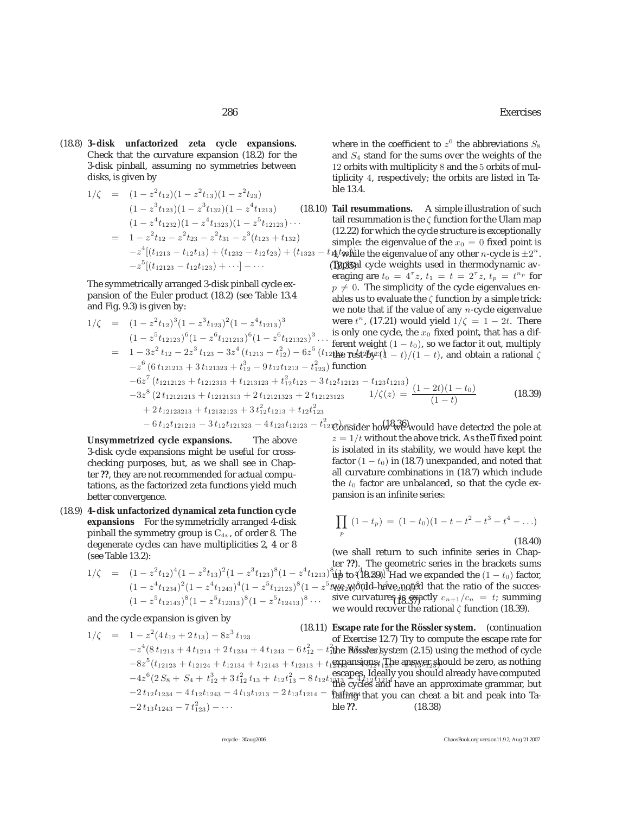(18.8) **3–disk unfactorized zeta cycle expansions.** Check that the curvature expansion (18.2) for the 3-disk pinball, assuming no symmetries between disks, is given by

$$
1/\zeta = (1 - z^2 t_{12})(1 - z^2 t_{13})(1 - z^2 t_{23})
$$
ble 13  
\n
$$
(1 - z^3 t_{123})(1 - z^3 t_{132})(1 - z^4 t_{1213})
$$
 (18.10) Tail re  
\n
$$
= (1 - z^4 t_{1232})(1 - z^4 t_{1323})(1 - z^5 t_{12123}) \cdots
$$
tail re:  
\n
$$
= 1 - z^2 t_{12} - z^2 t_{23} - z^2 t_{31} - z^3 (t_{123} + t_{132})
$$
 (12.22)  
\n
$$
-z^4 [(t_{1213} - t_{12} t_{13}) + (t_{1232} - t_{12} t_{23}) + (t_{1323} - t_{44} t_{46} t_{47}) - z^5 [(t_{12123} - t_{12} t_{123}) + \cdots] - \cdots
$$
 (19.367)

The symmetrically arranged 3-disk pinball cycle expansion of the Euler product (18.2) (see Table 13.4 and Fig. 9.3) is given by:

$$
1/\zeta = (1 - z^2 t_{12})^3 (1 - z^3 t_{123})^2 (1 - z^4 t_{1213})^3
$$
 were  $t^n$ , (17.21) would yield  $1/\zeta = 1 - (1 - z^5 t_{12123})^6 (1 - z^6 t_{121213})^6 (1 - z^6 t_{121323})^3 \cdots$  from cycle, the  $x_0$  fixed point, the  
\n
$$
= 1 - 3z^2 t_{12} - 2z^3 t_{123} - 3z^4 (t_{1213} - t_{12}^2) - 6z^5 (t_{12} t_{12} R_2 + t_{12}^2) - 6z^5 (t_{12} R_2 + t_{12}^2) - 6z^5 (t_{12} R_2 + t_{12}^2) - 6z^5 (t_{12} R_2 + t_{12}^2) - 6z^5 (t_{12} R_2 + t_{12}^2) - 6z^5 (t_{12} R_2 + t_{12}^2) - 6z^5 (t_{12} R_2 + t_{12}^2) - 6z^5 (t_{12} R_2 + t_{12}^2) - 6z^5 (t_{12} R_2 + t_{12}^2) - 6z^7 (t_{121213} + t_{121233} + t_{1213123} + t_{121233} - t_{123}^2)
$$

**Unsymmetrized cycle expansions.** The above 3-disk cycle expansions might be useful for crosschecking purposes, but, as we shall see in Chapter **??**, they are not recommended for actual computations, as the factorized zeta functions yield much better convergence.

(18.9) **4–disk unfactorized dynamical zeta function cycle expansions** For the symmetriclly arranged 4-disk pinball the symmetry group is  $C_{4v}$ , of order 8. The degenerate cycles can have multiplicities 2, 4 or 8 (see Table 13.2):

$$
1/\zeta = (1 - z^2 t_{12})^4 (1 - z^2 t_{13})^2 (1 - z^3 t_{123})^8 (1 - z^4 t_{1213})
$$
  

$$
(1 - z^4 t_{1234})^2 (1 - z^4 t_{1243})^4 (1 - z^5 t_{12123})^8 (1 - z^5 t_{12143})^8 (1 - z^5 t_{12413})^8 \cdots
$$

and the cycle expansion is given by

$$
1/\zeta = 1 - z^{2}(4t_{12} + 2t_{13}) - 8z^{3}t_{123}
$$
\nof Exercise 12.7) Try to con  
\n
$$
-z^{4}(8t_{1213} + 4t_{1214} + 2t_{1234} + 4t_{1243} - 6t_{12}^{2} - t_{121}^{2} + t_{121}^{2} + t_{121}^{2} - t_{121}^{2} + t_{121}^{2} - t_{121}^{2} + t_{121}^{2} - t_{121}^{2} + t_{121}^{2} - t_{121}^{2} + t_{121}^{2} - t_{121}^{2} - t_{121}^{2} - t_{121}^{2} - t_{121}^{2} - t_{121}^{2} - t_{121}^{2} - t_{121}^{2} - t_{121}^{2} - t_{121}^{2} - t_{121}^{2} - t_{121}^{2} - t_{121}^{2} - t_{121}^{2} - t_{121}^{2} - t_{121}^{2} - t_{121}^{2} - t_{121}^{2} - t_{121}^{2} - t_{121}^{2} - t_{121}^{2} - t_{121}^{2} - t_{121}^{2} - t_{121}^{2} - t_{121}^{2} - t_{121}^{2} - t_{121}^{2} - t_{121}^{2} - t_{121}^{2} - t_{121}^{2} - t_{121}^{2} - t_{121}^{2} - t_{121}^{2} - t_{121}^{2} - t_{121}^{2} - t_{121}^{2} - t_{121}^{2} - t_{121}^{2} - t_{121}^{2} - t_{121}^{2} - t_{121}^{2} - t_{121}^{2} - t_{121}^{2} - t_{121}^{2} - t_{121}^{2} - t_{121}^{2} - t_{121}^{2} - t_{121}^{2} - t_{121}^{2} - t_{121}^{2} - t_{121}^{2} - t_{121}^{2} - t_{121}^{2} - t_{121}^{2} - t_{1
$$

where in the coefficient to  $z^6$  the abbreviations  $S_8$ and  $S_4$  stand for the sums over the weights of the 12 orbits with multiplicity 8 and the 5 orbits of multiplicity 4, respectively; the orbits are listed in Table 13.4.

 $[(t_{1213} - t_{12}t_{13}) + (t_{1232} - t_{12}t_{23}) + (t_{1323} - t_{13}t_{23})$ <br>  $[$  (the eigenvalue of any other n-cycle is  $\pm 2^n$ . (18.10) **Tail resummations.** A simple illustration of such tail resummation is the  $\zeta$  function for the Ulam map (12.22) for which the cycle structure is exceptionally simple: the eigenvalue of the  $x_0 = 0$  fixed point is Typical cycle weights used in thermodynamic averaging are  $t_0 = 4^{\tau}z$ ,  $t_1 = t = 2^{\tau}z$ ,  $t_p = t^{n_p}$  for  $n \neq 0$ . The simplicity of the cycle eigenvalues and  $p \neq 0$ . The simplicity of the cycle eigenvalues enables us to evaluate the  $\zeta$  function by a simple trick: we note that if the value of any  $n$ -cycle eigenvalue were t  $-2t$ . There at has a different weight weight weight weight were the use the use the *u*t of the *u* a rational  $\zeta$ 

$$
t_{12123} - t_{123}t_{1213}
$$
  
 
$$
1/\zeta(z) = \frac{(1-2t)(1-t_0)}{(1-t)}
$$
 (18.39)

 $\frac{1}{12}$  &  $\frac{1}{12}$   $\frac{1}{8}$   $\frac{1}{8}$   $\frac{1}{8}$   $\frac{1}{8}$   $\frac{1}{8}$   $\frac{1}{8}$   $\frac{1}{8}$   $\frac{1}{8}$   $\frac{1}{8}$   $\frac{1}{18}$   $\frac{1}{18}$   $\frac{1}{18}$   $\frac{1}{18}$   $\frac{1}{18}$   $\frac{1}{18}$   $\frac{1}{18}$   $\frac{1}{18}$   $\frac{1}{18}$   $\frac{1}{18$  $z = 1/t$  without the above trick. As the  $\overline{0}$  fixed point is isolated in its stability, we would have kept the factor  $(1 - t_0)$  in (18.7) unexpanded, and noted that all curvature combinations in (18.7) which include the  $t_0$  factor are unbalanced, so that the cycle expansion is an infinite series:

$$
\prod_{p} (1-t_p) = (1-t_0)(1-t-t^2-t^3-t^4-\ldots)
$$
\n(18.40)

ter ??). The geometric series in the brackets sums (1 :..). The geometric series in the brackets sums<br>up to (18.39). Had we expanded the  $(1-t_0)$  factor,  $t_{\text{12}}$  $t_{\text{23}}$  $t_{\text{24}}$  $t_{\text{34}}$  $t_{\text{45}}$  $t_{\text{45}}$  $t_{\text{46}}$   $t_{\text{45}}$   $t_{\text{46}}$   $t_{\text{47}}$   $t_{\text{48}}$   $t_{\text{48}}$   $t_{\text{48}}$   $t_{\text{48}}$   $t_{\text{48}}$   $t_{\text{48}}$   $t_{\text{48}}$   $t_{\text{48}}$   $t_{\text{48}}$   $t_{\text{48}}$   $t_{\text{4$ <sup>8</sup>  $\ldots$  sive curvatures is exactly  $c_{n+1}/c_n = t$ ; summing we would recover the rational *c* function (18.39) (we shall return to such infinite series in Chapwe would recover the rational  $\zeta$  function (18.39).

 $\frac{2}{12} - t_{\text{1}}^2$  the Rössler system (2.15) using the method of cycle<br>the Rössler system (2.15) using the method of cycle  $(t_{12123} + t_{12124} + t_{12134} + t_{12143} + t_{12313} + t_{12313} + t_{12313} + t_{12313} + t_{12313} + t_{12313} + t_{12313} + t_{12313} + t_{12313} + t_{12313} + t_{12313} + t_{12313} + t_{12313} + t_{12313} + t_{12313} + t_{12313} + t_{12313} + t_{12313} + t_{12313} + t_{12313} + t_{12$  $\frac{1}{13} - 8 t_{12} t_{1213} \frac{1}{12} \frac{1}{4} t_{12} t_{1214}$  you should ancidy have computed<br>the cycles and have an approximate grammar, but (18.11) **Escape rate for the Rössler system.** (continuation of Exercise 12.7) Try to compute the escape rate for  $t_1$ expansions $t_1$ The answer should be zero, as nothing failing<sup>1</sup> that you can cheat a bit and peak into Table **??**.